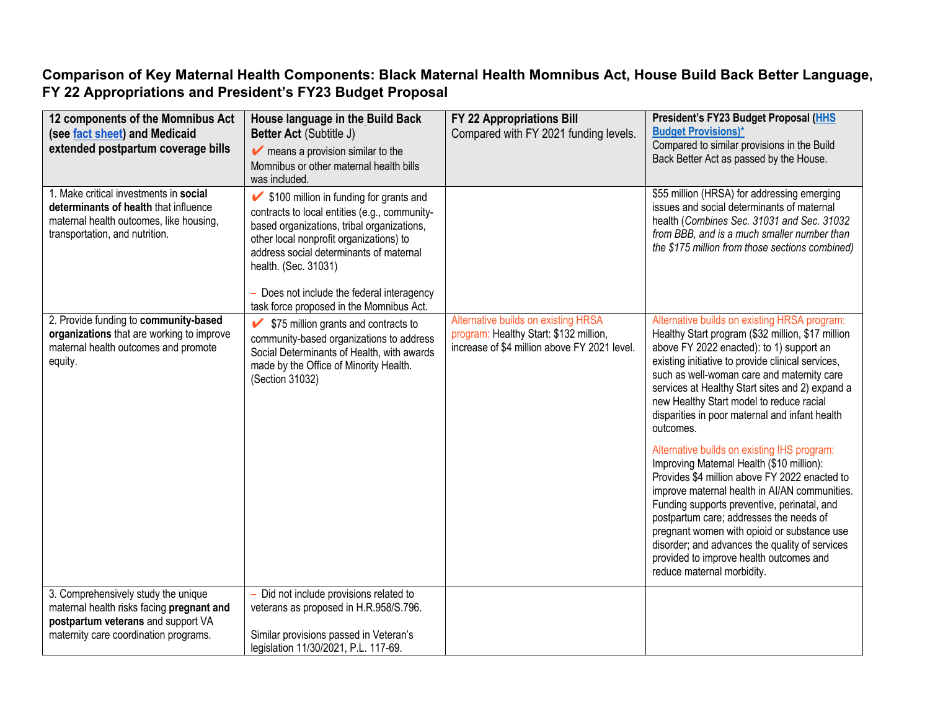## **Comparison of Key Maternal Health Components: Black Maternal Health Momnibus Act, House Build Back Better Language, FY 22 Appropriations and President's FY23 Budget Proposal**

| 12 components of the Momnibus Act<br>(see fact sheet) and Medicaid<br>extended postpartum coverage bills                                                        | House language in the Build Back<br>Better Act (Subtitle J)<br>$\blacktriangleright$ means a provision similar to the<br>Momnibus or other maternal health bills<br>was included.                                                                                                                                                                | FY 22 Appropriations Bill<br>Compared with FY 2021 funding levels.                                                            | President's FY23 Budget Proposal (HHS<br><b>Budget Provisions)*</b><br>Compared to similar provisions in the Build<br>Back Better Act as passed by the House.                                                                                                                                                                                                                                                                                                  |
|-----------------------------------------------------------------------------------------------------------------------------------------------------------------|--------------------------------------------------------------------------------------------------------------------------------------------------------------------------------------------------------------------------------------------------------------------------------------------------------------------------------------------------|-------------------------------------------------------------------------------------------------------------------------------|----------------------------------------------------------------------------------------------------------------------------------------------------------------------------------------------------------------------------------------------------------------------------------------------------------------------------------------------------------------------------------------------------------------------------------------------------------------|
| 1. Make critical investments in social<br>determinants of health that influence<br>maternal health outcomes, like housing,<br>transportation, and nutrition.    | ◆ \$100 million in funding for grants and<br>contracts to local entities (e.g., community-<br>based organizations, tribal organizations,<br>other local nonprofit organizations) to<br>address social determinants of maternal<br>health. (Sec. 31031)<br>- Does not include the federal interagency<br>task force proposed in the Momnibus Act. |                                                                                                                               | \$55 million (HRSA) for addressing emerging<br>issues and social determinants of maternal<br>health (Combines Sec. 31031 and Sec. 31032<br>from BBB, and is a much smaller number than<br>the \$175 million from those sections combined)                                                                                                                                                                                                                      |
| 2. Provide funding to community-based<br>organizations that are working to improve<br>maternal health outcomes and promote<br>equity.                           | \$75 million grants and contracts to<br>community-based organizations to address<br>Social Determinants of Health, with awards<br>made by the Office of Minority Health.<br>(Section 31032)                                                                                                                                                      | Alternative builds on existing HRSA<br>program: Healthy Start: \$132 million,<br>increase of \$4 million above FY 2021 level. | Alternative builds on existing HRSA program:<br>Healthy Start program (\$32 million, \$17 million<br>above FY 2022 enacted): to 1) support an<br>existing initiative to provide clinical services,<br>such as well-woman care and maternity care<br>services at Healthy Start sites and 2) expand a<br>new Healthy Start model to reduce racial<br>disparities in poor maternal and infant health<br>outcomes.                                                 |
|                                                                                                                                                                 |                                                                                                                                                                                                                                                                                                                                                  |                                                                                                                               | Alternative builds on existing IHS program:<br>Improving Maternal Health (\$10 million):<br>Provides \$4 million above FY 2022 enacted to<br>improve maternal health in AI/AN communities.<br>Funding supports preventive, perinatal, and<br>postpartum care; addresses the needs of<br>pregnant women with opioid or substance use<br>disorder; and advances the quality of services<br>provided to improve health outcomes and<br>reduce maternal morbidity. |
| 3. Comprehensively study the unique<br>maternal health risks facing pregnant and<br>postpartum veterans and support VA<br>maternity care coordination programs. | - Did not include provisions related to<br>veterans as proposed in H.R.958/S.796.<br>Similar provisions passed in Veteran's<br>legislation 11/30/2021, P.L. 117-69.                                                                                                                                                                              |                                                                                                                               |                                                                                                                                                                                                                                                                                                                                                                                                                                                                |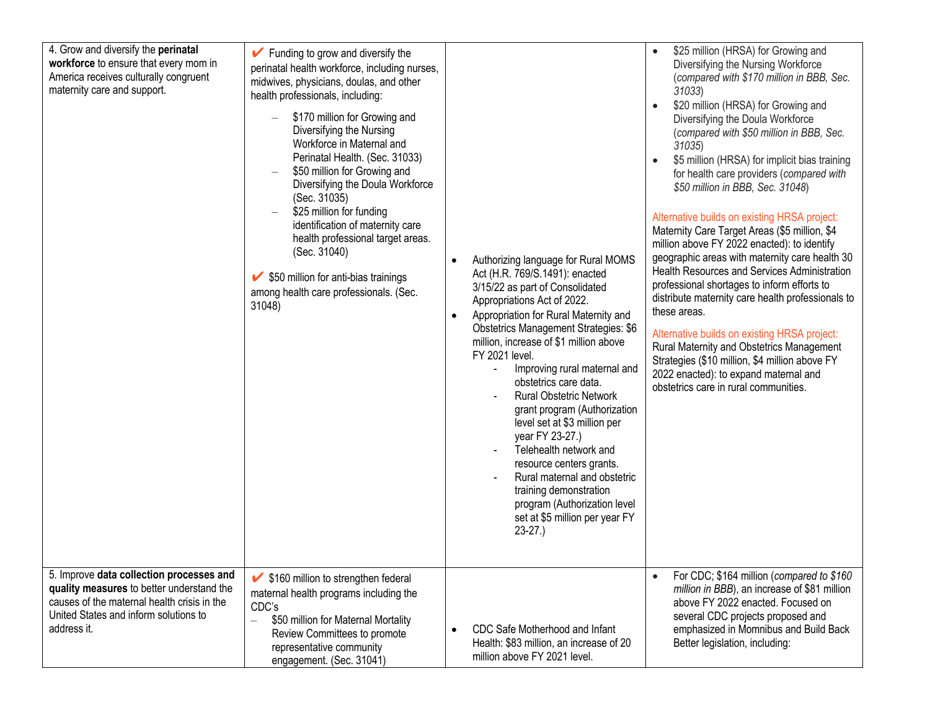| 4. Grow and diversify the perinatal<br>workforce to ensure that every mom in<br>America receives culturally congruent<br>maternity care and support.<br>5. Improve data collection processes and | $\blacktriangleright$ Funding to grow and diversify the<br>perinatal health workforce, including nurses,<br>midwives, physicians, doulas, and other<br>health professionals, including:<br>\$170 million for Growing and<br>$\equiv$<br>Diversifying the Nursing<br>Workforce in Maternal and<br>Perinatal Health. (Sec. 31033)<br>\$50 million for Growing and<br>Diversifying the Doula Workforce<br>(Sec. 31035)<br>\$25 million for funding<br>identification of maternity care<br>health professional target areas.<br>(Sec. 31040)<br>$\blacktriangleright$ \$50 million for anti-bias trainings<br>among health care professionals. (Sec.<br>31048) | Authorizing language for Rural MOMS<br>$\bullet$<br>Act (H.R. 769/S.1491): enacted<br>3/15/22 as part of Consolidated<br>Appropriations Act of 2022.<br>Appropriation for Rural Maternity and<br>$\bullet$<br><b>Obstetrics Management Strategies: \$6</b><br>million, increase of \$1 million above<br>FY 2021 level.<br>Improving rural maternal and<br>obstetrics care data.<br><b>Rural Obstetric Network</b><br>grant program (Authorization<br>level set at \$3 million per<br>year FY 23-27.)<br>Telehealth network and<br>resource centers grants.<br>Rural maternal and obstetric<br>training demonstration<br>program (Authorization level<br>set at \$5 million per year FY<br>$23-27.$ | \$25 million (HRSA) for Growing and<br>Diversifying the Nursing Workforce<br>(compared with \$170 million in BBB, Sec.<br>31033)<br>\$20 million (HRSA) for Growing and<br>$\bullet$<br>Diversifying the Doula Workforce<br>(compared with \$50 million in BBB, Sec.<br>31035)<br>\$5 million (HRSA) for implicit bias training<br>$\bullet$<br>for health care providers (compared with<br>\$50 million in BBB, Sec. 31048)<br>Alternative builds on existing HRSA project:<br>Maternity Care Target Areas (\$5 million, \$4<br>million above FY 2022 enacted): to identify<br>geographic areas with maternity care health 30<br>Health Resources and Services Administration<br>professional shortages to inform efforts to<br>distribute maternity care health professionals to<br>these areas.<br>Alternative builds on existing HRSA project:<br>Rural Maternity and Obstetrics Management<br>Strategies (\$10 million, \$4 million above FY<br>2022 enacted): to expand maternal and<br>obstetrics care in rural communities.<br>For CDC; \$164 million (compared to \$160 |
|--------------------------------------------------------------------------------------------------------------------------------------------------------------------------------------------------|------------------------------------------------------------------------------------------------------------------------------------------------------------------------------------------------------------------------------------------------------------------------------------------------------------------------------------------------------------------------------------------------------------------------------------------------------------------------------------------------------------------------------------------------------------------------------------------------------------------------------------------------------------|----------------------------------------------------------------------------------------------------------------------------------------------------------------------------------------------------------------------------------------------------------------------------------------------------------------------------------------------------------------------------------------------------------------------------------------------------------------------------------------------------------------------------------------------------------------------------------------------------------------------------------------------------------------------------------------------------|----------------------------------------------------------------------------------------------------------------------------------------------------------------------------------------------------------------------------------------------------------------------------------------------------------------------------------------------------------------------------------------------------------------------------------------------------------------------------------------------------------------------------------------------------------------------------------------------------------------------------------------------------------------------------------------------------------------------------------------------------------------------------------------------------------------------------------------------------------------------------------------------------------------------------------------------------------------------------------------------------------------------------------------------------------------------------------|
| quality measures to better understand the<br>causes of the maternal health crisis in the<br>United States and inform solutions to<br>address it.                                                 | ◆ \$160 million to strengthen federal<br>maternal health programs including the<br>CDC's<br>\$50 million for Maternal Mortality<br>$\equiv$<br>Review Committees to promote<br>representative community<br>engagement. (Sec. 31041)                                                                                                                                                                                                                                                                                                                                                                                                                        | CDC Safe Motherhood and Infant<br>$\bullet$<br>Health: \$83 million, an increase of 20<br>million above FY 2021 level.                                                                                                                                                                                                                                                                                                                                                                                                                                                                                                                                                                             | million in BBB), an increase of \$81 million<br>above FY 2022 enacted. Focused on<br>several CDC projects proposed and<br>emphasized in Momnibus and Build Back<br>Better legislation, including:                                                                                                                                                                                                                                                                                                                                                                                                                                                                                                                                                                                                                                                                                                                                                                                                                                                                                |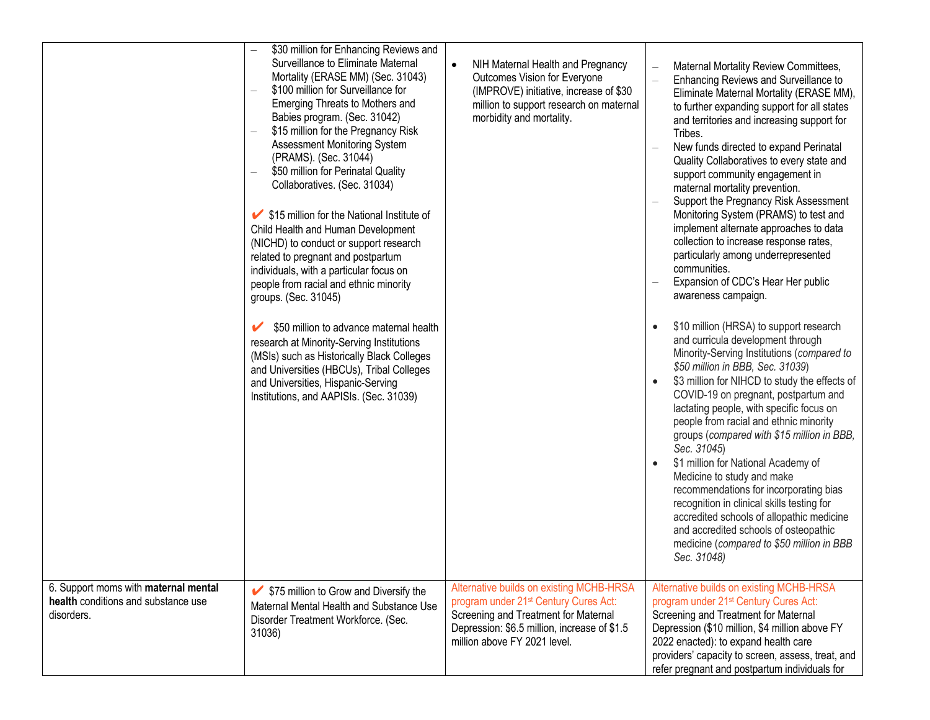|                                                                                           | \$30 million for Enhancing Reviews and<br>Surveillance to Eliminate Maternal<br>Mortality (ERASE MM) (Sec. 31043)<br>\$100 million for Surveillance for<br>Emerging Threats to Mothers and<br>Babies program. (Sec. 31042)<br>\$15 million for the Pregnancy Risk<br>Assessment Monitoring System<br>(PRAMS). (Sec. 31044)<br>\$50 million for Perinatal Quality<br>Collaboratives. (Sec. 31034)<br>└ \$15 million for the National Institute of<br>Child Health and Human Development<br>(NICHD) to conduct or support research<br>related to pregnant and postpartum<br>individuals, with a particular focus on<br>people from racial and ethnic minority<br>groups. (Sec. 31045)<br>\$50 million to advance maternal health<br>research at Minority-Serving Institutions<br>(MSIs) such as Historically Black Colleges<br>and Universities (HBCUs), Tribal Colleges<br>and Universities, Hispanic-Serving<br>Institutions, and AAPISIs. (Sec. 31039) | NIH Maternal Health and Pregnancy<br>Outcomes Vision for Everyone<br>(IMPROVE) initiative, increase of \$30<br>million to support research on maternal<br>morbidity and mortality.                                    | Maternal Mortality Review Committees,<br>Enhancing Reviews and Surveillance to<br>Eliminate Maternal Mortality (ERASE MM),<br>to further expanding support for all states<br>and territories and increasing support for<br>Tribes.<br>New funds directed to expand Perinatal<br>Quality Collaboratives to every state and<br>support community engagement in<br>maternal mortality prevention.<br>Support the Pregnancy Risk Assessment<br>Monitoring System (PRAMS) to test and<br>implement alternate approaches to data<br>collection to increase response rates,<br>particularly among underrepresented<br>communities.<br>Expansion of CDC's Hear Her public<br>awareness campaign.<br>\$10 million (HRSA) to support research<br>$\bullet$<br>and curricula development through<br>Minority-Serving Institutions (compared to<br>\$50 million in BBB, Sec. 31039)<br>\$3 million for NIHCD to study the effects of<br>$\bullet$<br>COVID-19 on pregnant, postpartum and<br>lactating people, with specific focus on<br>people from racial and ethnic minority<br>groups (compared with \$15 million in BBB,<br>Sec. 31045)<br>\$1 million for National Academy of<br>$\bullet$<br>Medicine to study and make<br>recommendations for incorporating bias<br>recognition in clinical skills testing for<br>accredited schools of allopathic medicine<br>and accredited schools of osteopathic<br>medicine (compared to \$50 million in BBB<br>Sec. 31048) |
|-------------------------------------------------------------------------------------------|---------------------------------------------------------------------------------------------------------------------------------------------------------------------------------------------------------------------------------------------------------------------------------------------------------------------------------------------------------------------------------------------------------------------------------------------------------------------------------------------------------------------------------------------------------------------------------------------------------------------------------------------------------------------------------------------------------------------------------------------------------------------------------------------------------------------------------------------------------------------------------------------------------------------------------------------------------|-----------------------------------------------------------------------------------------------------------------------------------------------------------------------------------------------------------------------|--------------------------------------------------------------------------------------------------------------------------------------------------------------------------------------------------------------------------------------------------------------------------------------------------------------------------------------------------------------------------------------------------------------------------------------------------------------------------------------------------------------------------------------------------------------------------------------------------------------------------------------------------------------------------------------------------------------------------------------------------------------------------------------------------------------------------------------------------------------------------------------------------------------------------------------------------------------------------------------------------------------------------------------------------------------------------------------------------------------------------------------------------------------------------------------------------------------------------------------------------------------------------------------------------------------------------------------------------------------------------------------------------------------------------------------------------------------|
| 6. Support moms with maternal mental<br>health conditions and substance use<br>disorders. | ✔ \$75 million to Grow and Diversify the<br>Maternal Mental Health and Substance Use<br>Disorder Treatment Workforce. (Sec.<br>31036)                                                                                                                                                                                                                                                                                                                                                                                                                                                                                                                                                                                                                                                                                                                                                                                                                   | Alternative builds on existing MCHB-HRSA<br>program under 21 <sup>st</sup> Century Cures Act:<br>Screening and Treatment for Maternal<br>Depression: \$6.5 million, increase of \$1.5<br>million above FY 2021 level. | Alternative builds on existing MCHB-HRSA<br>program under 21 <sup>st</sup> Century Cures Act:<br>Screening and Treatment for Maternal<br>Depression (\$10 million, \$4 million above FY<br>2022 enacted): to expand health care<br>providers' capacity to screen, assess, treat, and<br>refer pregnant and postpartum individuals for                                                                                                                                                                                                                                                                                                                                                                                                                                                                                                                                                                                                                                                                                                                                                                                                                                                                                                                                                                                                                                                                                                                        |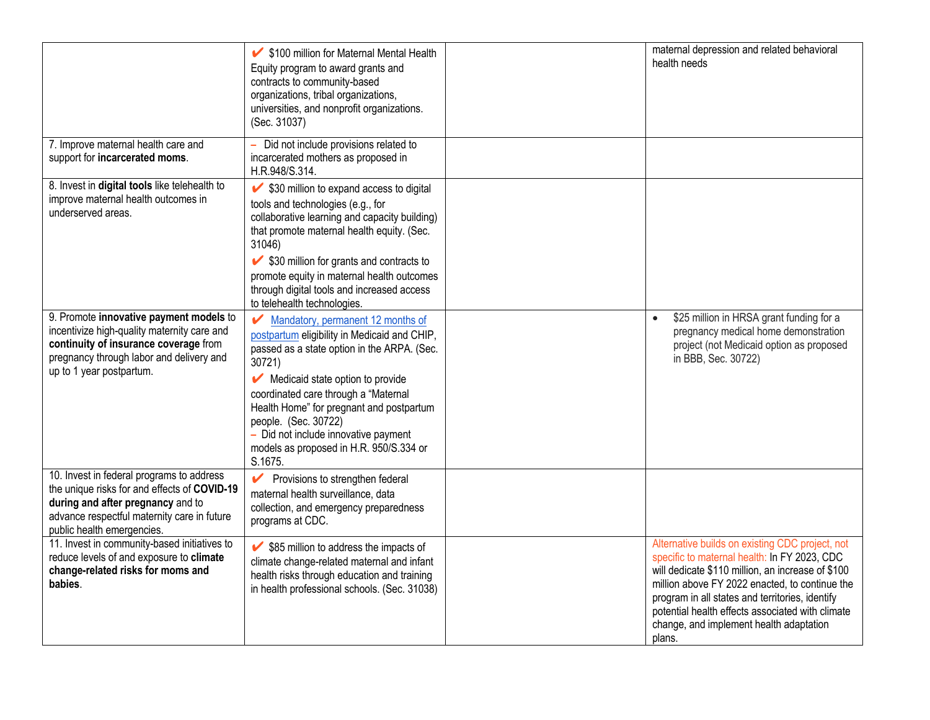|                                                                                                                                                                                                             | ↓ \$100 million for Maternal Mental Health<br>Equity program to award grants and<br>contracts to community-based<br>organizations, tribal organizations,<br>universities, and nonprofit organizations.<br>(Sec. 31037)                                                                                                                                                                                                                       | maternal depression and related behavioral<br>health needs                                                                                                                                                                                                                                                                                                         |
|-------------------------------------------------------------------------------------------------------------------------------------------------------------------------------------------------------------|----------------------------------------------------------------------------------------------------------------------------------------------------------------------------------------------------------------------------------------------------------------------------------------------------------------------------------------------------------------------------------------------------------------------------------------------|--------------------------------------------------------------------------------------------------------------------------------------------------------------------------------------------------------------------------------------------------------------------------------------------------------------------------------------------------------------------|
| 7. Improve maternal health care and<br>support for incarcerated moms.                                                                                                                                       | Did not include provisions related to<br>incarcerated mothers as proposed in<br>H.R.948/S.314.                                                                                                                                                                                                                                                                                                                                               |                                                                                                                                                                                                                                                                                                                                                                    |
| 8. Invest in digital tools like telehealth to<br>improve maternal health outcomes in<br>underserved areas.                                                                                                  | $\blacktriangleright$ \$30 million to expand access to digital<br>tools and technologies (e.g., for<br>collaborative learning and capacity building)<br>that promote maternal health equity. (Sec.<br>31046)<br>✔ \$30 million for grants and contracts to<br>promote equity in maternal health outcomes<br>through digital tools and increased access<br>to telehealth technologies.                                                        |                                                                                                                                                                                                                                                                                                                                                                    |
| 9. Promote innovative payment models to<br>incentivize high-quality maternity care and<br>continuity of insurance coverage from<br>pregnancy through labor and delivery and<br>up to 1 year postpartum.     | Mandatory, permanent 12 months of<br>$\boldsymbol{\mathcal{L}}$<br>postpartum eligibility in Medicaid and CHIP,<br>passed as a state option in the ARPA. (Sec.<br>30721)<br>$\blacktriangleright$ Medicaid state option to provide<br>coordinated care through a "Maternal<br>Health Home" for pregnant and postpartum<br>people. (Sec. 30722)<br>- Did not include innovative payment<br>models as proposed in H.R. 950/S.334 or<br>S.1675. | \$25 million in HRSA grant funding for a<br>pregnancy medical home demonstration<br>project (not Medicaid option as proposed<br>in BBB, Sec. 30722)                                                                                                                                                                                                                |
| 10. Invest in federal programs to address<br>the unique risks for and effects of COVID-19<br>during and after pregnancy and to<br>advance respectful maternity care in future<br>public health emergencies. | Provisions to strengthen federal<br>maternal health surveillance, data<br>collection, and emergency preparedness<br>programs at CDC.                                                                                                                                                                                                                                                                                                         |                                                                                                                                                                                                                                                                                                                                                                    |
| 11. Invest in community-based initiatives to<br>reduce levels of and exposure to climate<br>change-related risks for moms and<br>babies.                                                                    | $\blacktriangleright$ \$85 million to address the impacts of<br>climate change-related maternal and infant<br>health risks through education and training<br>in health professional schools. (Sec. 31038)                                                                                                                                                                                                                                    | Alternative builds on existing CDC project, not<br>specific to maternal health: In FY 2023, CDC<br>will dedicate \$110 million, an increase of \$100<br>million above FY 2022 enacted, to continue the<br>program in all states and territories, identify<br>potential health effects associated with climate<br>change, and implement health adaptation<br>plans. |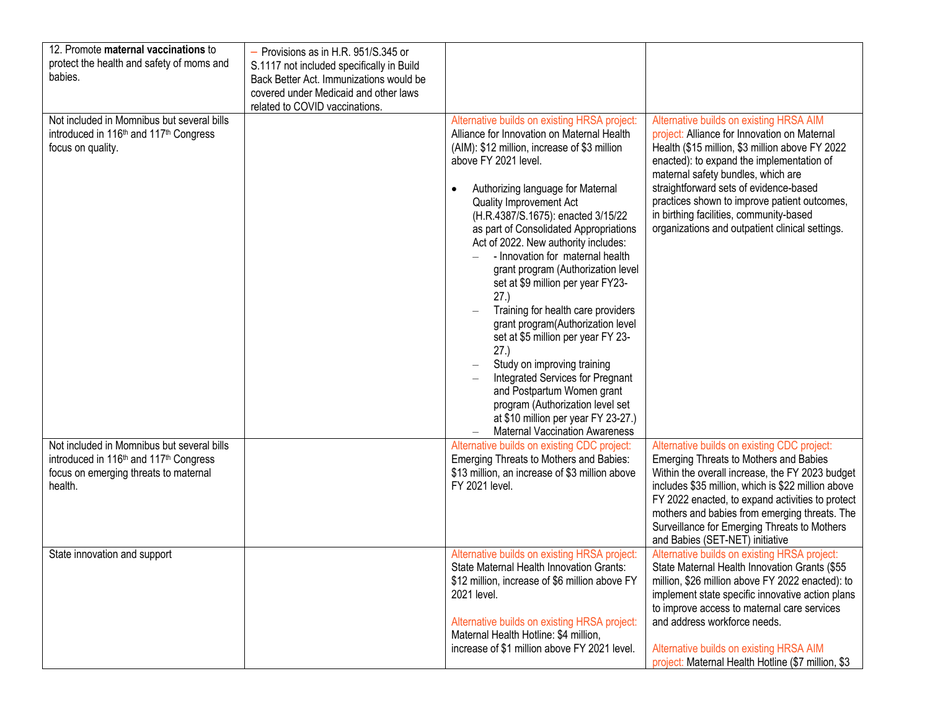| 12. Promote maternal vaccinations to<br>protect the health and safety of moms and<br>babies.                                                                     | - Provisions as in H.R. 951/S.345 or<br>S.1117 not included specifically in Build<br>Back Better Act. Immunizations would be |                                                                                                                                                                                                                                                                                                                                                                                                                                                                                                                                                                                                                                                                                                                                                                                                                                                     |                                                                                                                                                                                                                                                                                                                                                                                                                       |
|------------------------------------------------------------------------------------------------------------------------------------------------------------------|------------------------------------------------------------------------------------------------------------------------------|-----------------------------------------------------------------------------------------------------------------------------------------------------------------------------------------------------------------------------------------------------------------------------------------------------------------------------------------------------------------------------------------------------------------------------------------------------------------------------------------------------------------------------------------------------------------------------------------------------------------------------------------------------------------------------------------------------------------------------------------------------------------------------------------------------------------------------------------------------|-----------------------------------------------------------------------------------------------------------------------------------------------------------------------------------------------------------------------------------------------------------------------------------------------------------------------------------------------------------------------------------------------------------------------|
|                                                                                                                                                                  | covered under Medicaid and other laws<br>related to COVID vaccinations.                                                      |                                                                                                                                                                                                                                                                                                                                                                                                                                                                                                                                                                                                                                                                                                                                                                                                                                                     |                                                                                                                                                                                                                                                                                                                                                                                                                       |
| Not included in Momnibus but several bills<br>introduced in 116 <sup>th</sup> and 117 <sup>th</sup> Congress<br>focus on quality.                                |                                                                                                                              | Alternative builds on existing HRSA project:<br>Alliance for Innovation on Maternal Health<br>(AIM): \$12 million, increase of \$3 million<br>above FY 2021 level.<br>Authorizing language for Maternal<br>$\bullet$<br><b>Quality Improvement Act</b><br>(H.R.4387/S.1675): enacted 3/15/22<br>as part of Consolidated Appropriations<br>Act of 2022. New authority includes:<br>- Innovation for maternal health<br>grant program (Authorization level<br>set at \$9 million per year FY23-<br>27.)<br>Training for health care providers<br>grant program(Authorization level<br>set at \$5 million per year FY 23-<br>27.)<br>Study on improving training<br>Integrated Services for Pregnant<br>and Postpartum Women grant<br>program (Authorization level set<br>at \$10 million per year FY 23-27.)<br><b>Maternal Vaccination Awareness</b> | Alternative builds on existing HRSA AIM<br>project: Alliance for Innovation on Maternal<br>Health (\$15 million, \$3 million above FY 2022<br>enacted): to expand the implementation of<br>maternal safety bundles, which are<br>straightforward sets of evidence-based<br>practices shown to improve patient outcomes,<br>in birthing facilities, community-based<br>organizations and outpatient clinical settings. |
| Not included in Momnibus but several bills<br>introduced in 116 <sup>th</sup> and 117 <sup>th</sup> Congress<br>focus on emerging threats to maternal<br>health. |                                                                                                                              | Alternative builds on existing CDC project:<br>Emerging Threats to Mothers and Babies:<br>\$13 million, an increase of \$3 million above<br>FY 2021 level.                                                                                                                                                                                                                                                                                                                                                                                                                                                                                                                                                                                                                                                                                          | Alternative builds on existing CDC project:<br>Emerging Threats to Mothers and Babies<br>Within the overall increase, the FY 2023 budget<br>includes \$35 million, which is \$22 million above<br>FY 2022 enacted, to expand activities to protect<br>mothers and babies from emerging threats. The<br>Surveillance for Emerging Threats to Mothers<br>and Babies (SET-NET) initiative                                |
| State innovation and support                                                                                                                                     |                                                                                                                              | Alternative builds on existing HRSA project:<br>State Maternal Health Innovation Grants:<br>\$12 million, increase of \$6 million above FY<br>2021 level.<br>Alternative builds on existing HRSA project:<br>Maternal Health Hotline: \$4 million,<br>increase of \$1 million above FY 2021 level.                                                                                                                                                                                                                                                                                                                                                                                                                                                                                                                                                  | Alternative builds on existing HRSA project:<br>State Maternal Health Innovation Grants (\$55<br>million, \$26 million above FY 2022 enacted): to<br>implement state specific innovative action plans<br>to improve access to maternal care services<br>and address workforce needs.<br>Alternative builds on existing HRSA AIM<br>project: Maternal Health Hotline (\$7 million, \$3                                 |